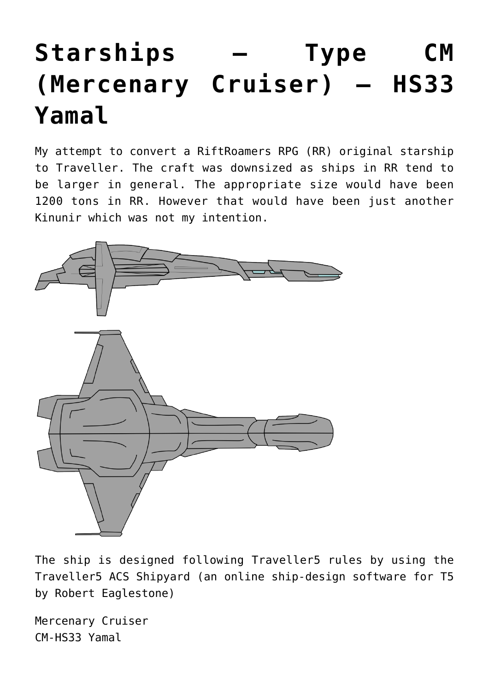## **[Starships – Type CM](https://traveller.chromeblack.com/a-dummy-collection-of-old-news-07/) [\(Mercenary Cruiser\) – HS33](https://traveller.chromeblack.com/a-dummy-collection-of-old-news-07/) [Yamal](https://traveller.chromeblack.com/a-dummy-collection-of-old-news-07/)**

My attempt to convert a RiftRoamers RPG (RR) original starship to Traveller. The craft was downsized as ships in RR tend to be larger in general. The appropriate size would have been 1200 tons in RR. However that would have been just another Kinunir which was not my intention.



The ship is designed following Traveller5 rules by using the [Traveller5 ACS Shipyard](http://eaglestone.pocketempires.com/ships/t5shipyard/T5Shipyard.html) (an online ship-design software for T5 by Robert Eaglestone)

Mercenary Cruiser CM-HS33 Yamal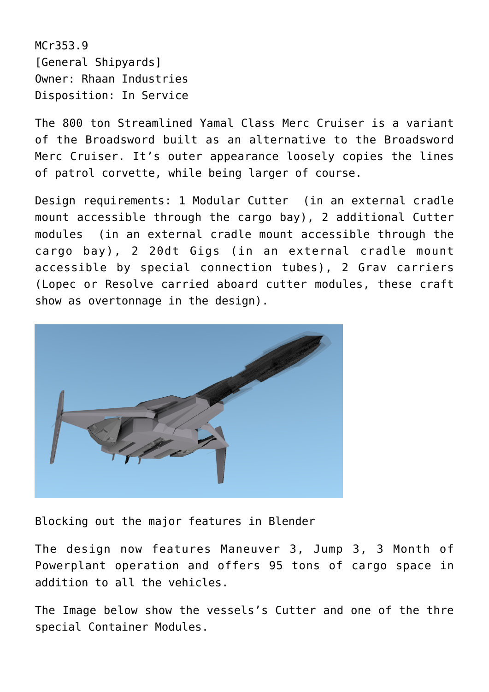MCr353.9 [General Shipyards] Owner: Rhaan Industries Disposition: In Service

The 800 ton Streamlined Yamal Class Merc Cruiser is a variant of the Broadsword built as an alternative to the Broadsword Merc Cruiser. It's outer appearance loosely copies the lines of patrol corvette, while being larger of course.

Design requirements: 1 Modular Cutter (in an external cradle mount accessible through the cargo bay), 2 additional Cutter modules (in an external cradle mount accessible through the cargo bay), 2 20dt Gigs (in an external cradle mount accessible by special connection tubes), 2 Grav carriers (Lopec or Resolve carried aboard cutter modules, these craft show as overtonnage in the design).



Blocking out the major features in Blender

The design now features Maneuver 3, Jump 3, 3 Month of Powerplant operation and offers 95 tons of cargo space in addition to all the vehicles.

The Image below show the vessels's Cutter and one of the thre special Container Modules.